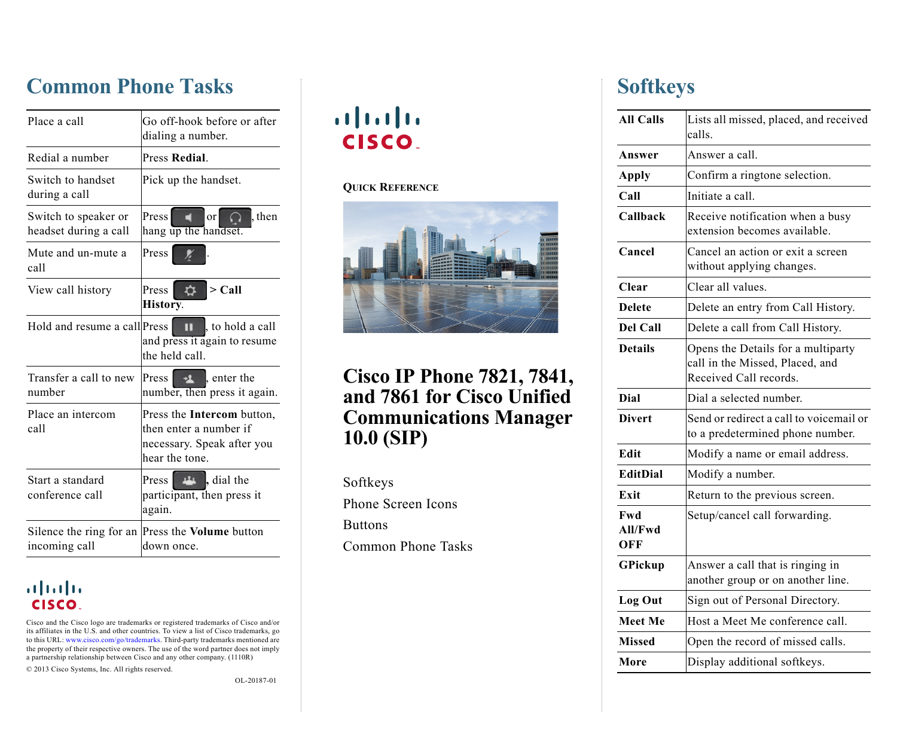# <span id="page-0-1"></span>**Common Phone Tasks**

| Place a call                                  | Go off-hook before or after<br>dialing a number.                                                            |
|-----------------------------------------------|-------------------------------------------------------------------------------------------------------------|
| Redial a number                               | Press Redial.                                                                                               |
| Switch to handset<br>during a call            | Pick up the handset.                                                                                        |
| Switch to speaker or<br>headset during a call | Press<br>then.<br>or<br>$\ddot{\phantom{1}}$<br>hang up the handset.                                        |
| Mute and un-mute a<br>call                    | Press                                                                                                       |
| View call history                             | $>$ Call<br>$\mathbf{\dot{\alpha}}$<br>Press<br>History.                                                    |
| Hold and resume a call Press                  | to hold a call<br>$\mathbf{u}$<br>and press it again to resume<br>the held call.                            |
| Transfer a call to new<br>number              | Press $\rightarrow$ enter the<br>number, then press it again.                                               |
| Place an intercom<br>call                     | Press the <b>Intercom</b> button,<br>then enter a number if<br>necessary. Speak after you<br>hear the tone. |
| Start a standard<br>conference call           | <b>Exercise</b> dial the<br>Press<br>participant, then press it<br>again.                                   |
| Silence the ring for an<br>incoming call      | Press the Volume button<br>down once.                                                                       |

#### altalia CISCO.

Cisco and the Cisco logo are trademarks or registered trademarks of Cisco and/or its affiliates in the U.S. and other countries. To view a list of Cisco trademarks, go to this URL: [www.cisco.com/go/trademarks](http://www.cisco.com/go/trademarks). Third-party trademarks mentioned are the property of their respective owners. The use of the word partner does not imply a partnership relationship between Cisco and any other company. (1110R)

© 2013 Cisco Systems, Inc. All rights reserved.

OL-20187-01

# $\begin{tabular}{c} \bf{a} & \bf{b} & \bf{c} \\ \bf{c} & \bf{d} & \bf{c} \\ \bf{c} & \bf{d} \\ \bf{c} & \bf{e} \\ \bf{c} & \bf{e} \\ \bf{c} & \bf{e} \\ \bf{c} & \bf{e} \\ \bf{c} & \bf{e} \\ \bf{c} & \bf{e} \\ \bf{c} & \bf{e} \\ \bf{c} & \bf{e} \\ \bf{c} & \bf{e} \\ \bf{c} & \bf{e} \\ \bf{c} & \bf{e} \\ \bf{c} & \bf{e} \\ \bf{c} & \bf{e} \\ \bf{c} & \bf$ **CISCO.**

#### **QUICK REFERENCE**



### **Cisco IP Phone 7821, 7841, and 7861 for Cisco Unified Communications Manager 10.0 (SIP)**

[Softkeys](#page-0-0) [Phone Screen Icons](#page-1-0) [Buttons](#page-1-1) [Common Phone Tasks](#page-0-1)

# <span id="page-0-0"></span>**Softkeys**

| <b>All Calls</b>      | Lists all missed, placed, and received<br>calls.                                                |
|-----------------------|-------------------------------------------------------------------------------------------------|
| Answer                | Answer a call.                                                                                  |
| <b>Apply</b>          | Confirm a ringtone selection.                                                                   |
| Call                  | Initiate a call.                                                                                |
| Callback              | Receive notification when a busy<br>extension becomes available.                                |
| Cancel                | Cancel an action or exit a screen<br>without applying changes.                                  |
| <b>Clear</b>          | Clear all values.                                                                               |
| <b>Delete</b>         | Delete an entry from Call History.                                                              |
| <b>Del Call</b>       | Delete a call from Call History.                                                                |
| <b>Details</b>        | Opens the Details for a multiparty<br>call in the Missed, Placed, and<br>Received Call records. |
| <b>Dial</b>           | Dial a selected number.                                                                         |
| <b>Divert</b>         | Send or redirect a call to voicemail or<br>to a predetermined phone number.                     |
| Edit                  | Modify a name or email address.                                                                 |
| <b>EditDial</b>       | Modify a number.                                                                                |
| Exit                  | Return to the previous screen.                                                                  |
| Fwd<br>All/Fwd<br>OFF | Setup/cancel call forwarding.                                                                   |
| GPickup               | Answer a call that is ringing in<br>another group or on another line.                           |
| <b>Log Out</b>        | Sign out of Personal Directory.                                                                 |
| <b>Meet Me</b>        | Host a Meet Me conference call.                                                                 |
| <b>Missed</b>         | Open the record of missed calls.                                                                |
| More                  | Display additional softkeys.                                                                    |
|                       |                                                                                                 |